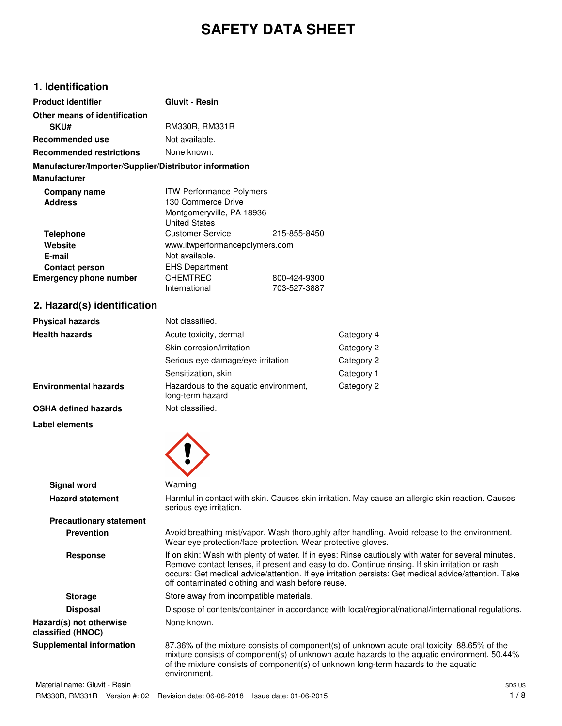# **SAFETY DATA SHEET**

# **1. Identification**

| <b>Product identifier</b>                              | <b>Gluvit - Resin</b>           |              |
|--------------------------------------------------------|---------------------------------|--------------|
| Other means of identification                          |                                 |              |
| <b>SKU#</b>                                            | RM330R, RM331R                  |              |
| Recommended use                                        | Not available.                  |              |
| <b>Recommended restrictions</b>                        | None known.                     |              |
| Manufacturer/Importer/Supplier/Distributor information |                                 |              |
| <b>Manufacturer</b>                                    |                                 |              |
| Company name                                           | <b>ITW Performance Polymers</b> |              |
| <b>Address</b>                                         | 130 Commerce Drive              |              |
|                                                        | Montgomeryville, PA 18936       |              |
|                                                        | <b>United States</b>            |              |
| Telephone                                              | Customer Service                | 215-855-8450 |
| Website                                                | www.itwperformancepolymers.com  |              |
| E-mail                                                 | Not available.                  |              |
| <b>Contact person</b>                                  | <b>EHS Department</b>           |              |
| <b>Emergency phone number</b>                          | <b>CHEMTREC</b>                 | 800-424-9300 |
|                                                        | International                   | 703-527-3887 |

# **2. Hazard(s) identification**

| <b>Physical hazards</b>      | Not classified.                                           |            |
|------------------------------|-----------------------------------------------------------|------------|
| <b>Health hazards</b>        | Acute toxicity, dermal                                    | Category 4 |
|                              | Skin corrosion/irritation                                 | Category 2 |
|                              | Serious eye damage/eye irritation                         | Category 2 |
|                              | Sensitization, skin                                       | Category 1 |
| <b>Environmental hazards</b> | Hazardous to the aquatic environment,<br>long-term hazard | Category 2 |
| <b>OSHA defined hazards</b>  | Not classified.                                           |            |

**Label elements**



| Signal word                                  | Warning                                                                                                                                                                                                                                                                                                                                                           |
|----------------------------------------------|-------------------------------------------------------------------------------------------------------------------------------------------------------------------------------------------------------------------------------------------------------------------------------------------------------------------------------------------------------------------|
| <b>Hazard statement</b>                      | Harmful in contact with skin. Causes skin irritation. May cause an allergic skin reaction. Causes<br>serious eye irritation.                                                                                                                                                                                                                                      |
| <b>Precautionary statement</b>               |                                                                                                                                                                                                                                                                                                                                                                   |
| <b>Prevention</b>                            | Avoid breathing mist/vapor. Wash thoroughly after handling. Avoid release to the environment.<br>Wear eye protection/face protection. Wear protective gloves.                                                                                                                                                                                                     |
| <b>Response</b>                              | If on skin: Wash with plenty of water. If in eyes: Rinse cautiously with water for several minutes.<br>Remove contact lenses, if present and easy to do. Continue rinsing. If skin irritation or rash<br>occurs: Get medical advice/attention. If eye irritation persists: Get medical advice/attention. Take<br>off contaminated clothing and wash before reuse. |
| <b>Storage</b>                               | Store away from incompatible materials.                                                                                                                                                                                                                                                                                                                           |
| <b>Disposal</b>                              | Dispose of contents/container in accordance with local/regional/national/international regulations.                                                                                                                                                                                                                                                               |
| Hazard(s) not otherwise<br>classified (HNOC) | None known.                                                                                                                                                                                                                                                                                                                                                       |
| <b>Supplemental information</b>              | 87.36% of the mixture consists of component(s) of unknown acute oral toxicity. 88.65% of the<br>mixture consists of component(s) of unknown acute hazards to the aquatic environment. 50.44%<br>of the mixture consists of component(s) of unknown long-term hazards to the aquatic<br>environment.                                                               |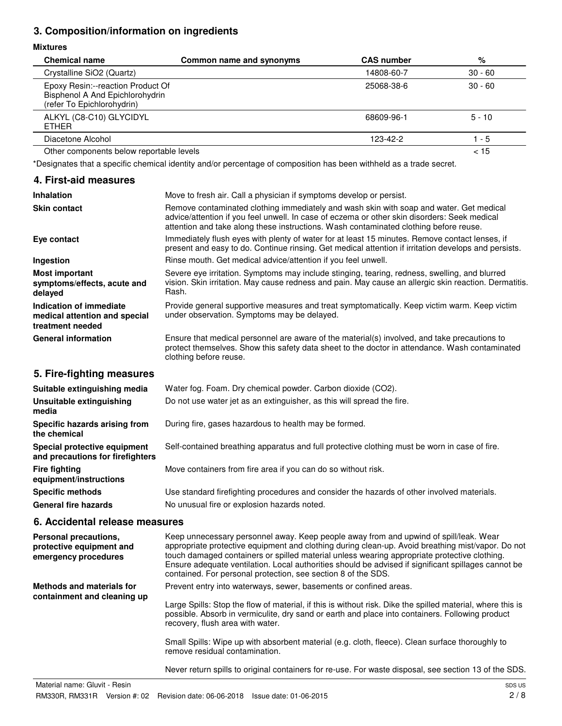## **3. Composition/information on ingredients**

#### **Mixtures**

| <b>Chemical name</b>                                                                               | Common name and synonyms | <b>CAS number</b> | %         |
|----------------------------------------------------------------------------------------------------|--------------------------|-------------------|-----------|
| Crystalline SiO2 (Quartz)                                                                          |                          | 14808-60-7        | $30 - 60$ |
| Epoxy Resin:--reaction Product Of<br>Bisphenol A And Epichlorohydrin<br>(refer To Epichlorohydrin) |                          | 25068-38-6        | $30 - 60$ |
| ALKYL (C8-C10) GLYCIDYL<br><b>ETHER</b>                                                            |                          | 68609-96-1        | $5 - 10$  |
| Diacetone Alcohol                                                                                  |                          | 123-42-2          | 1 - 5     |
| Other components below reportable levels                                                           |                          |                   | < 15      |

\*Designates that a specific chemical identity and/or percentage of composition has been withheld as a trade secret.

#### **4. First-aid measures**

| <b>Inhalation</b>                                                            | Move to fresh air. Call a physician if symptoms develop or persist.                                                                                                                                                                                                              |
|------------------------------------------------------------------------------|----------------------------------------------------------------------------------------------------------------------------------------------------------------------------------------------------------------------------------------------------------------------------------|
| <b>Skin contact</b>                                                          | Remove contaminated clothing immediately and wash skin with soap and water. Get medical<br>advice/attention if you feel unwell. In case of eczema or other skin disorders: Seek medical<br>attention and take along these instructions. Wash contaminated clothing before reuse. |
| Eye contact                                                                  | Immediately flush eyes with plenty of water for at least 15 minutes. Remove contact lenses, if<br>present and easy to do. Continue rinsing. Get medical attention if irritation develops and persists.                                                                           |
| Ingestion                                                                    | Rinse mouth. Get medical advice/attention if you feel unwell.                                                                                                                                                                                                                    |
| <b>Most important</b><br>symptoms/effects, acute and<br>delayed              | Severe eye irritation. Symptoms may include stinging, tearing, redness, swelling, and blurred<br>vision. Skin irritation. May cause redness and pain. May cause an allergic skin reaction. Dermatitis.<br>Rash.                                                                  |
| Indication of immediate<br>medical attention and special<br>treatment needed | Provide general supportive measures and treat symptomatically. Keep victim warm. Keep victim<br>under observation. Symptoms may be delayed.                                                                                                                                      |
| <b>General information</b>                                                   | Ensure that medical personnel are aware of the material(s) involved, and take precautions to<br>protect themselves. Show this safety data sheet to the doctor in attendance. Wash contaminated<br>clothing before reuse.                                                         |
| 5. Fire-fighting measures                                                    |                                                                                                                                                                                                                                                                                  |
| Suitable extinguishing media                                                 | Water fog. Foam. Dry chemical powder. Carbon dioxide (CO2).                                                                                                                                                                                                                      |
| Unsuitable extinguishing<br>media                                            | Do not use water jet as an extinguisher, as this will spread the fire.                                                                                                                                                                                                           |

**Specific hazards arising from** During fire, gases hazardous to health may be formed.

**Special protective equipment** Self-contained breathing apparatus and full protective clothing must be worn in case of fire.

**Fire fighting** Move containers from fire area if you can do so without risk.

**Specific methods** Use standard firefighting procedures and consider the hazards of other involved materials. General fire hazards **No unusual fire or explosion hazards noted.** 

## **6. Accidental release measures**

**and precautions for firefighters**

**equipment/instructions**

**the chemical**

| Personal precautions,<br>protective equipment and<br>emergency procedures | Keep unnecessary personnel away. Keep people away from and upwind of spill/leak. Wear<br>appropriate protective equipment and clothing during clean-up. Avoid breathing mist/vapor. Do not<br>touch damaged containers or spilled material unless wearing appropriate protective clothing.<br>Ensure adequate ventilation. Local authorities should be advised if significant spillages cannot be<br>contained. For personal protection, see section 8 of the SDS. |
|---------------------------------------------------------------------------|--------------------------------------------------------------------------------------------------------------------------------------------------------------------------------------------------------------------------------------------------------------------------------------------------------------------------------------------------------------------------------------------------------------------------------------------------------------------|
| Methods and materials for<br>containment and cleaning up                  | Prevent entry into waterways, sewer, basements or confined areas.<br>Large Spills: Stop the flow of material, if this is without risk. Dike the spilled material, where this is<br>possible. Absorb in vermiculite, dry sand or earth and place into containers. Following product<br>recovery, flush area with water.                                                                                                                                             |
|                                                                           | Small Spills: Wipe up with absorbent material (e.g. cloth, fleece). Clean surface thoroughly to<br>remove residual contamination.                                                                                                                                                                                                                                                                                                                                  |
|                                                                           | Never return spills to original containers for re-use. For waste disposal, see section 13 of the SDS.                                                                                                                                                                                                                                                                                                                                                              |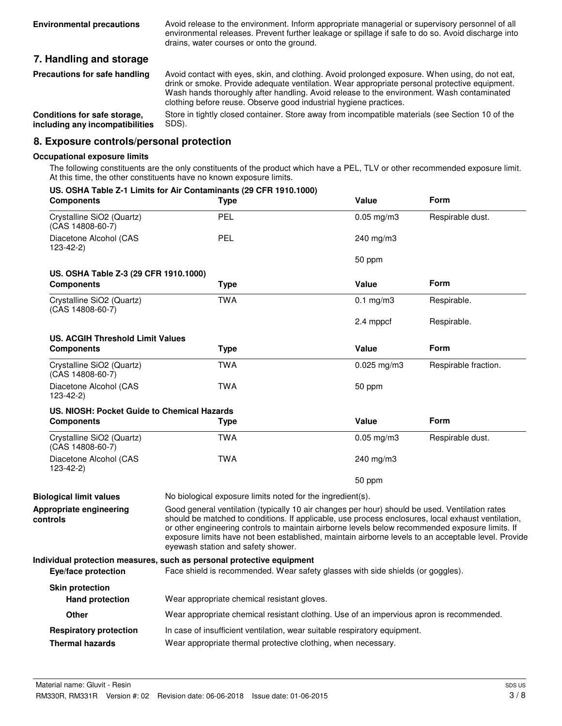Avoid release to the environment. Inform appropriate managerial or supervisory personnel of all environmental releases. Prevent further leakage or spillage if safe to do so. Avoid discharge into drains, water courses or onto the ground.

## **7. Handling and storage**

Avoid contact with eyes, skin, and clothing. Avoid prolonged exposure. When using, do not eat, drink or smoke. Provide adequate ventilation. Wear appropriate personal protective equipment. Wash hands thoroughly after handling. Avoid release to the environment. Wash contaminated clothing before reuse. Observe good industrial hygiene practices. **Precautions for safe handling**

Store in tightly closed container. Store away from incompatible materials (see Section 10 of the SDS). **Conditions for safe storage, including any incompatibilities**

#### **8. Exposure controls/personal protection**

#### **Occupational exposure limits**

The following constituents are the only constituents of the product which have a PEL, TLV or other recommended exposure limit. At this time, the other constituents have no known exposure limits.

| <b>Components</b>                             | US. OSHA Table Z-1 Limits for Air Contaminants (29 CFR 1910.1000)<br>Type                                                                                                                                                                                                                                                                                                                                                                            | Value            | Form                 |
|-----------------------------------------------|------------------------------------------------------------------------------------------------------------------------------------------------------------------------------------------------------------------------------------------------------------------------------------------------------------------------------------------------------------------------------------------------------------------------------------------------------|------------------|----------------------|
| Crystalline SiO2 (Quartz)<br>(CAS 14808-60-7) | PEL                                                                                                                                                                                                                                                                                                                                                                                                                                                  | $0.05$ mg/m $3$  | Respirable dust.     |
| Diacetone Alcohol (CAS<br>123-42-2)           | PEL                                                                                                                                                                                                                                                                                                                                                                                                                                                  | $240$ mg/m $3$   |                      |
|                                               |                                                                                                                                                                                                                                                                                                                                                                                                                                                      | 50 ppm           |                      |
| US. OSHA Table Z-3 (29 CFR 1910.1000)         |                                                                                                                                                                                                                                                                                                                                                                                                                                                      | <b>Value</b>     | Form                 |
| <b>Components</b>                             | <b>Type</b>                                                                                                                                                                                                                                                                                                                                                                                                                                          |                  |                      |
| Crystalline SiO2 (Quartz)<br>(CAS 14808-60-7) | <b>TWA</b>                                                                                                                                                                                                                                                                                                                                                                                                                                           | $0.1$ mg/m3      | Respirable.          |
|                                               |                                                                                                                                                                                                                                                                                                                                                                                                                                                      | 2.4 mppcf        | Respirable.          |
| <b>US. ACGIH Threshold Limit Values</b>       |                                                                                                                                                                                                                                                                                                                                                                                                                                                      |                  |                      |
| <b>Components</b>                             | Type                                                                                                                                                                                                                                                                                                                                                                                                                                                 | Value            | Form                 |
| Crystalline SiO2 (Quartz)<br>(CAS 14808-60-7) | <b>TWA</b>                                                                                                                                                                                                                                                                                                                                                                                                                                           | $0.025$ mg/m $3$ | Respirable fraction. |
| Diacetone Alcohol (CAS<br>$123 - 42 - 2$      | <b>TWA</b>                                                                                                                                                                                                                                                                                                                                                                                                                                           | 50 ppm           |                      |
| US. NIOSH: Pocket Guide to Chemical Hazards   |                                                                                                                                                                                                                                                                                                                                                                                                                                                      |                  |                      |
| <b>Components</b>                             | Type                                                                                                                                                                                                                                                                                                                                                                                                                                                 | <b>Value</b>     | Form                 |
| Crystalline SiO2 (Quartz)<br>(CAS 14808-60-7) | <b>TWA</b>                                                                                                                                                                                                                                                                                                                                                                                                                                           | $0.05$ mg/m3     | Respirable dust.     |
| Diacetone Alcohol (CAS<br>123-42-2)           | <b>TWA</b>                                                                                                                                                                                                                                                                                                                                                                                                                                           | 240 mg/m3        |                      |
|                                               |                                                                                                                                                                                                                                                                                                                                                                                                                                                      | 50 ppm           |                      |
| <b>Biological limit values</b>                | No biological exposure limits noted for the ingredient(s).                                                                                                                                                                                                                                                                                                                                                                                           |                  |                      |
| Appropriate engineering<br>controls           | Good general ventilation (typically 10 air changes per hour) should be used. Ventilation rates<br>should be matched to conditions. If applicable, use process enclosures, local exhaust ventilation,<br>or other engineering controls to maintain airborne levels below recommended exposure limits. If<br>exposure limits have not been established, maintain airborne levels to an acceptable level. Provide<br>eyewash station and safety shower. |                  |                      |
|                                               | Individual protection measures, such as personal protective equipment                                                                                                                                                                                                                                                                                                                                                                                |                  |                      |
| Eye/face protection                           | Face shield is recommended. Wear safety glasses with side shields (or goggles).                                                                                                                                                                                                                                                                                                                                                                      |                  |                      |
| <b>Skin protection</b>                        |                                                                                                                                                                                                                                                                                                                                                                                                                                                      |                  |                      |
| <b>Hand protection</b>                        | Wear appropriate chemical resistant gloves.                                                                                                                                                                                                                                                                                                                                                                                                          |                  |                      |
| Other                                         | Wear appropriate chemical resistant clothing. Use of an impervious apron is recommended.                                                                                                                                                                                                                                                                                                                                                             |                  |                      |
| <b>Respiratory protection</b>                 | In case of insufficient ventilation, wear suitable respiratory equipment.                                                                                                                                                                                                                                                                                                                                                                            |                  |                      |
| <b>Thermal hazards</b>                        | Wear appropriate thermal protective clothing, when necessary.                                                                                                                                                                                                                                                                                                                                                                                        |                  |                      |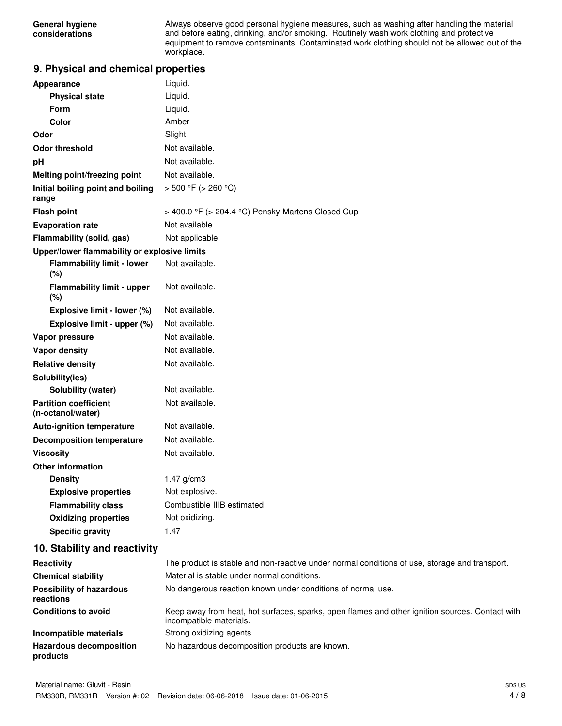Always observe good personal hygiene measures, such as washing after handling the material and before eating, drinking, and/or smoking. Routinely wash work clothing and protective equipment to remove contaminants. Contaminated work clothing should not be allowed out of the workplace.

## **9. Physical and chemical properties**

| Appearance                                        | Liquid.                                                                                                                    |
|---------------------------------------------------|----------------------------------------------------------------------------------------------------------------------------|
| <b>Physical state</b>                             | Liquid.                                                                                                                    |
| <b>Form</b>                                       | Liquid.                                                                                                                    |
| Color                                             | Amber                                                                                                                      |
| Odor                                              | Slight.                                                                                                                    |
| <b>Odor threshold</b>                             | Not available.                                                                                                             |
| рH                                                | Not available.                                                                                                             |
| <b>Melting point/freezing point</b>               | Not available.                                                                                                             |
| Initial boiling point and boiling<br>range        | $> 500 °F$ ( $> 260 °C$ )                                                                                                  |
| <b>Flash point</b>                                | > 400.0 °F (> 204.4 °C) Pensky-Martens Closed Cup                                                                          |
| <b>Evaporation rate</b>                           | Not available.                                                                                                             |
| Flammability (solid, gas)                         | Not applicable.                                                                                                            |
| Upper/lower flammability or explosive limits      |                                                                                                                            |
| <b>Flammability limit - lower</b><br>(%)          | Not available.                                                                                                             |
| <b>Flammability limit - upper</b><br>(%)          | Not available.                                                                                                             |
| Explosive limit - lower (%)                       | Not available.                                                                                                             |
| Explosive limit - upper (%)                       | Not available.                                                                                                             |
| Vapor pressure                                    | Not available.                                                                                                             |
| <b>Vapor density</b>                              | Not available.                                                                                                             |
| <b>Relative density</b>                           | Not available.                                                                                                             |
| Solubility(ies)                                   |                                                                                                                            |
| Solubility (water)                                | Not available.                                                                                                             |
| <b>Partition coefficient</b><br>(n-octanol/water) | Not available.                                                                                                             |
| <b>Auto-ignition temperature</b>                  | Not available.                                                                                                             |
| <b>Decomposition temperature</b>                  | Not available.                                                                                                             |
| <b>Viscosity</b>                                  | Not available.                                                                                                             |
| <b>Other information</b>                          |                                                                                                                            |
| <b>Density</b>                                    | $1.47$ g/cm3                                                                                                               |
| <b>Explosive properties</b>                       | Not explosive.                                                                                                             |
| <b>Flammability class</b>                         | Combustible IIIB estimated                                                                                                 |
| <b>Oxidizing properties</b>                       | Not oxidizing.                                                                                                             |
| <b>Specific gravity</b>                           | 1.47                                                                                                                       |
| 10. Stability and reactivity                      |                                                                                                                            |
| Reactivity                                        | The product is stable and non-reactive under normal conditions of use, storage and transport.                              |
| <b>Chemical stability</b>                         | Material is stable under normal conditions.                                                                                |
| <b>Possibility of hazardous</b><br>reactions      | No dangerous reaction known under conditions of normal use.                                                                |
| <b>Conditions to avoid</b>                        | Keep away from heat, hot surfaces, sparks, open flames and other ignition sources. Contact with<br>incompatible materials. |
| Incompatible materials                            | Strong oxidizing agents.                                                                                                   |
| <b>Hazardous decomposition</b>                    | No hazardous decomposition products are known.                                                                             |

**products**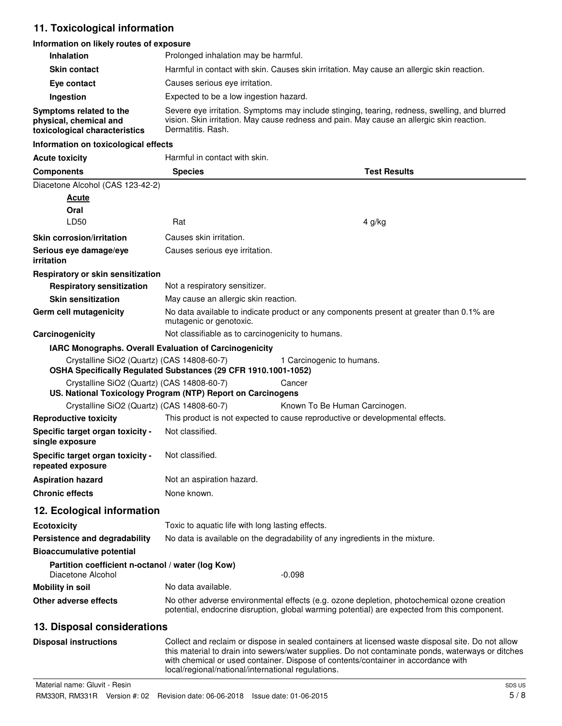# **11. Toxicological information**

#### **Information on likely routes of exposure**

| <b>Inhalation</b>                                                      | Prolonged inhalation may be harmful.                                                                                |                                                                                                                                                                                                                                                                                             |  |
|------------------------------------------------------------------------|---------------------------------------------------------------------------------------------------------------------|---------------------------------------------------------------------------------------------------------------------------------------------------------------------------------------------------------------------------------------------------------------------------------------------|--|
| <b>Skin contact</b>                                                    | Harmful in contact with skin. Causes skin irritation. May cause an allergic skin reaction.                          |                                                                                                                                                                                                                                                                                             |  |
| Eye contact                                                            | Causes serious eye irritation.                                                                                      |                                                                                                                                                                                                                                                                                             |  |
|                                                                        | Expected to be a low ingestion hazard.                                                                              |                                                                                                                                                                                                                                                                                             |  |
| Ingestion<br>Symptoms related to the                                   | Severe eye irritation. Symptoms may include stinging, tearing, redness, swelling, and blurred                       |                                                                                                                                                                                                                                                                                             |  |
| physical, chemical and<br>toxicological characteristics                | Dermatitis, Rash.                                                                                                   | vision. Skin irritation. May cause redness and pain. May cause an allergic skin reaction.                                                                                                                                                                                                   |  |
| Information on toxicological effects                                   |                                                                                                                     |                                                                                                                                                                                                                                                                                             |  |
| <b>Acute toxicity</b>                                                  | Harmful in contact with skin.                                                                                       |                                                                                                                                                                                                                                                                                             |  |
| <b>Components</b>                                                      | <b>Species</b>                                                                                                      | <b>Test Results</b>                                                                                                                                                                                                                                                                         |  |
| Diacetone Alcohol (CAS 123-42-2)                                       |                                                                                                                     |                                                                                                                                                                                                                                                                                             |  |
| <u>Acute</u>                                                           |                                                                                                                     |                                                                                                                                                                                                                                                                                             |  |
| Oral                                                                   |                                                                                                                     |                                                                                                                                                                                                                                                                                             |  |
| LD50                                                                   | Rat                                                                                                                 | 4 g/kg                                                                                                                                                                                                                                                                                      |  |
| <b>Skin corrosion/irritation</b>                                       | Causes skin irritation.                                                                                             |                                                                                                                                                                                                                                                                                             |  |
| Serious eye damage/eye<br><i>irritation</i>                            | Causes serious eye irritation.                                                                                      |                                                                                                                                                                                                                                                                                             |  |
| Respiratory or skin sensitization                                      |                                                                                                                     |                                                                                                                                                                                                                                                                                             |  |
| <b>Respiratory sensitization</b>                                       | Not a respiratory sensitizer.                                                                                       |                                                                                                                                                                                                                                                                                             |  |
| <b>Skin sensitization</b>                                              | May cause an allergic skin reaction.                                                                                |                                                                                                                                                                                                                                                                                             |  |
| Germ cell mutagenicity                                                 | No data available to indicate product or any components present at greater than 0.1% are<br>mutagenic or genotoxic. |                                                                                                                                                                                                                                                                                             |  |
| Carcinogenicity                                                        | Not classifiable as to carcinogenicity to humans.                                                                   |                                                                                                                                                                                                                                                                                             |  |
|                                                                        | <b>IARC Monographs. Overall Evaluation of Carcinogenicity</b>                                                       |                                                                                                                                                                                                                                                                                             |  |
| Crystalline SiO2 (Quartz) (CAS 14808-60-7)                             | OSHA Specifically Regulated Substances (29 CFR 1910.1001-1052)                                                      | 1 Carcinogenic to humans.                                                                                                                                                                                                                                                                   |  |
| Crystalline SiO2 (Quartz) (CAS 14808-60-7)                             |                                                                                                                     | Cancer                                                                                                                                                                                                                                                                                      |  |
|                                                                        | US. National Toxicology Program (NTP) Report on Carcinogens                                                         |                                                                                                                                                                                                                                                                                             |  |
| Crystalline SiO2 (Quartz) (CAS 14808-60-7)                             |                                                                                                                     | Known To Be Human Carcinogen.                                                                                                                                                                                                                                                               |  |
| <b>Reproductive toxicity</b>                                           |                                                                                                                     | This product is not expected to cause reproductive or developmental effects.                                                                                                                                                                                                                |  |
| Specific target organ toxicity -<br>single exposure                    | Not classified.                                                                                                     |                                                                                                                                                                                                                                                                                             |  |
| Specific target organ toxicity -<br>repeated exposure                  | Not classified.                                                                                                     |                                                                                                                                                                                                                                                                                             |  |
| <b>Aspiration hazard</b>                                               | Not an aspiration hazard.                                                                                           |                                                                                                                                                                                                                                                                                             |  |
| <b>Chronic effects</b>                                                 | None known.                                                                                                         |                                                                                                                                                                                                                                                                                             |  |
| 12. Ecological information                                             |                                                                                                                     |                                                                                                                                                                                                                                                                                             |  |
| <b>Ecotoxicity</b>                                                     | Toxic to aquatic life with long lasting effects.                                                                    |                                                                                                                                                                                                                                                                                             |  |
| Persistence and degradability                                          |                                                                                                                     | No data is available on the degradability of any ingredients in the mixture.                                                                                                                                                                                                                |  |
| <b>Bioaccumulative potential</b>                                       |                                                                                                                     |                                                                                                                                                                                                                                                                                             |  |
| Partition coefficient n-octanol / water (log Kow)<br>Diacetone Alcohol |                                                                                                                     | $-0.098$                                                                                                                                                                                                                                                                                    |  |
| <b>Mobility in soil</b>                                                | No data available.                                                                                                  |                                                                                                                                                                                                                                                                                             |  |
| Other adverse effects                                                  |                                                                                                                     | No other adverse environmental effects (e.g. ozone depletion, photochemical ozone creation<br>potential, endocrine disruption, global warming potential) are expected from this component.                                                                                                  |  |
| 13. Disposal considerations                                            |                                                                                                                     |                                                                                                                                                                                                                                                                                             |  |
| <b>Disposal instructions</b>                                           | local/regional/national/international regulations.                                                                  | Collect and reclaim or dispose in sealed containers at licensed waste disposal site. Do not allow<br>this material to drain into sewers/water supplies. Do not contaminate ponds, waterways or ditches<br>with chemical or used container. Dispose of contents/container in accordance with |  |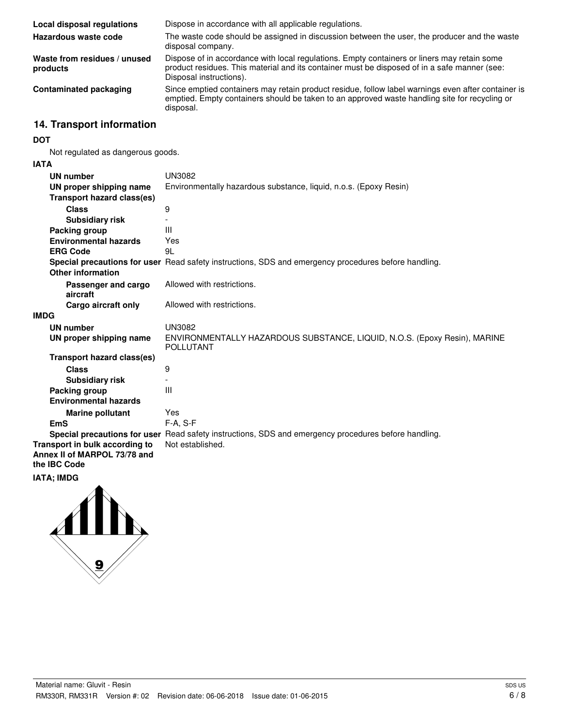| Local disposal regulations               | Dispose in accordance with all applicable regulations.                                                                                                                                                                 |
|------------------------------------------|------------------------------------------------------------------------------------------------------------------------------------------------------------------------------------------------------------------------|
| Hazardous waste code                     | The waste code should be assigned in discussion between the user, the producer and the waste<br>disposal company.                                                                                                      |
| Waste from residues / unused<br>products | Dispose of in accordance with local regulations. Empty containers or liners may retain some<br>product residues. This material and its container must be disposed of in a safe manner (see:<br>Disposal instructions). |
| <b>Contaminated packaging</b>            | Since emptied containers may retain product residue, follow label warnings even after container is<br>emptied. Empty containers should be taken to an approved waste handling site for recycling or<br>disposal.       |

# **14. Transport information**

#### **DOT**

Not regulated as dangerous goods.

#### **IATA**

| UN number                                                                      | <b>UN3082</b>                                                                                        |
|--------------------------------------------------------------------------------|------------------------------------------------------------------------------------------------------|
| UN proper shipping name                                                        | Environmentally hazardous substance, liquid, n.o.s. (Epoxy Resin)                                    |
| Transport hazard class(es)                                                     |                                                                                                      |
| <b>Class</b>                                                                   | 9                                                                                                    |
| <b>Subsidiary risk</b>                                                         |                                                                                                      |
| Packing group                                                                  | Ш                                                                                                    |
| <b>Environmental hazards</b>                                                   | Yes                                                                                                  |
| <b>ERG Code</b>                                                                | 91                                                                                                   |
|                                                                                | Special precautions for user Read safety instructions, SDS and emergency procedures before handling. |
| Other information                                                              |                                                                                                      |
| Passenger and cargo<br>aircraft                                                | Allowed with restrictions.                                                                           |
| Cargo aircraft only                                                            | Allowed with restrictions.                                                                           |
| <b>IMDG</b>                                                                    |                                                                                                      |
| <b>UN number</b>                                                               | <b>UN3082</b>                                                                                        |
| UN proper shipping name                                                        | ENVIRONMENTALLY HAZARDOUS SUBSTANCE, LIQUID, N.O.S. (Epoxy Resin), MARINE<br><b>POLLUTANT</b>        |
| Transport hazard class(es)                                                     |                                                                                                      |
| <b>Class</b>                                                                   | 9                                                                                                    |
| <b>Subsidiary risk</b>                                                         |                                                                                                      |
| Packing group                                                                  | Ш                                                                                                    |
| <b>Environmental hazards</b>                                                   |                                                                                                      |
| <b>Marine pollutant</b>                                                        | Yes                                                                                                  |
| <b>EmS</b>                                                                     | $F-A. S-F$                                                                                           |
|                                                                                | Special precautions for user Read safety instructions, SDS and emergency procedures before handling. |
| Transport in bulk according to<br>Annex II of MARPOL 73/78 and<br>the IBC Code | Not established.                                                                                     |
| .                                                                              |                                                                                                      |

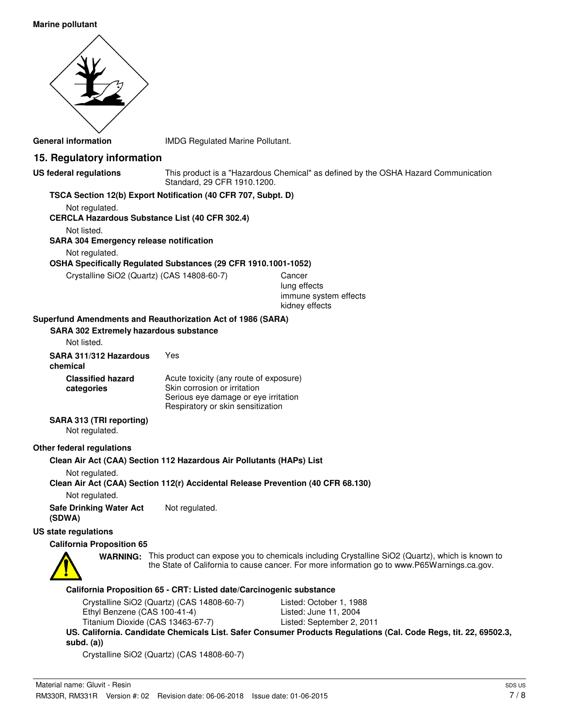#### **Marine pollutant**



**General information** IMDG Regulated Marine Pollutant.

## **15. Regulatory information**

|  | US federal regulations |  |
|--|------------------------|--|
|  |                        |  |

This product is a "Hazardous Chemical" as defined by the OSHA Hazard Communication Standard, 29 CFR 1910.1200.

#### **TSCA Section 12(b) Export Notification (40 CFR 707, Subpt. D)**

Not regulated. **CERCLA Hazardous Substance List (40 CFR 302.4)**

Not listed.

**SARA 304 Emergency release notification**

Not regulated.

#### **OSHA Specifically Regulated Substances (29 CFR 1910.1001-1052)**

Crystalline SiO2 (Quartz) (CAS 14808-60-7) Cancer

lung effects immune system effects kidney effects

#### **Superfund Amendments and Reauthorization Act of 1986 (SARA)**

| <b>SARA 302 Extremely hazardous substance</b><br>Not listed. |                                                                                                                                                     |
|--------------------------------------------------------------|-----------------------------------------------------------------------------------------------------------------------------------------------------|
| SARA 311/312 Hazardous<br>chemical                           | Yes                                                                                                                                                 |
| <b>Classified hazard</b><br>categories                       | Acute toxicity (any route of exposure)<br>Skin corrosion or irritation<br>Serious eye damage or eye irritation<br>Respiratory or skin sensitization |
| <b>BA 646 (TBI    </b>                                       |                                                                                                                                                     |

## **SARA 313 (TRI reporting)**

Not regulated.

#### **Other federal regulations**

**Clean Air Act (CAA) Section 112 Hazardous Air Pollutants (HAPs) List**

Not regulated.

**Clean Air Act (CAA) Section 112(r) Accidental Release Prevention (40 CFR 68.130)**

Not regulated.

**Safe Drinking Water Act** Not regulated. **(SDWA)**

#### **US state regulations**

#### **California Proposition 65**



WARNING: This product can expose you to chemicals including Crystalline SiO2 (Quartz), which is known to the State of California to cause cancer. For more information go to www.P65Warnings.ca.gov.

#### **California Proposition 65 - CRT: Listed date/Carcinogenic substance**

| Crystalline SiO2 (Quartz) (CAS 14808-60-7) | Listed: October 1, 1988   |
|--------------------------------------------|---------------------------|
| Ethyl Benzene (CAS 100-41-4)               | Listed: June 11, 2004     |
| Titanium Dioxide (CAS 13463-67-7)          | Listed: September 2, 2011 |

**US. California. Candidate Chemicals List. Safer Consumer Products Regulations (Cal. Code Regs, tit. 22, 69502.3, subd. (a))**

Crystalline SiO2 (Quartz) (CAS 14808-60-7)